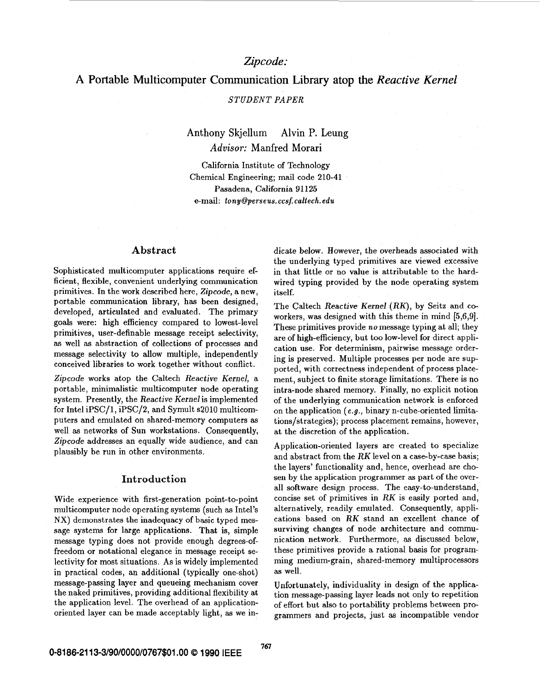# *Zipcode:*

# **A Portable Multicomputer Communication Library atop the** *Reactive* **Kernel**  *STUDENT PAPER*

**Anthony Skjellum Alvin P. Leung**  *Advisor:* **Manfred Morari** 

California Institute of Technology Chemical Engineering; mail code **210-41**  Pasadena, California 91125 e-mail: *lony@perseus. ccsf. caltech. edu* 

# **Abstract**

Sophisticated multicomputer applications require efficient, flexible, convenient underlying communication primitives. In the work described here, Zipcode, a new, portable communication library, has been designed, developed, articulated and evaluated. The primary goals were: high efficiency compared to lowest-level primitives, user-definable message receipt selectivity, as well **as** abstraction of collections of processes and message selectivity to allow multiple, independently conceived libraries to work together without conflict.

Zipcode works atop the Caltech Reactive Kernel, a portable, minimalistic multicomputer node operating system. Presently, the Reactive Kernel is implemented for Intel iPSC/l, iPSC/2, and Symult s2010 multicomputers and emulated on shared-memory computers **as**  well **as** networks of Sun workstations. Consequently, Zipcode addresses an equally wide audience, and can plausibly be run in other environments.

# **Introduction**

Wide experience with first-generation point-to-point multicomputer node operating systems (such **as** Intel's NX) demonstrates the inadequacy of basic typed message systems for large applications. That is, simple message typing does not provide enough degrees-offreedom or notational elegance in message receipt selectivity for most situations. **As** is widely implemented in practical codes, an additional (typically one-shot) message-passing layer and queueing mechanism cover the naked primitives, providing additional flexibility at the application level. The overhead of an applicationoriented layer can be made acceptably light, **as** we in-

dicate below. However, the overheads associated with the underlying typed primitives are viewed excessive in that little or no value is attributable to the hardwired typing provided by the node operating system itself.

The Caltech Reactive Kernel (RK), by Seitz and coworkers, was designed with this theme in mind [5,6,9]. These primitives provide *no* message typing at all; they are of high-efficiency, but too low-level for direct application use. For determinism, pairwise message ordering is preserved. Multiple processes per node are supported, with correctness independent of process placement, subject to finite storage limitations. There is no intra-node shared memory. Finally, no explicit notion of the underlying communication network is enforced on the application *(e.g.,* binary n-cube-oriented limitations/strategies); process placement remains, however, at the discretion of the application.

Application-oriented layers are created to specialize and abstract from the RK level on a case-by-case basis; the layers' functionality and, hence, overhead are chosen by the application programmer **as** part of the overall software design process. The easy-to-understand, concise set of primitives in RK is easily ported and, alternatively, readily emulated. Consequently, applications based on RK stand an excellent chance of surviving changes of node architecture and comunication network. Furthermore, **as** discussed below, these primitives provide a rational basis for programming medium-grain, shared-memory multiprocessors **as** well.

Unfortunately, individuality in design of the application message-passing layer leads not only to repetition of effort but also to portability problems between programmers and projects, just **as** incompatible vendor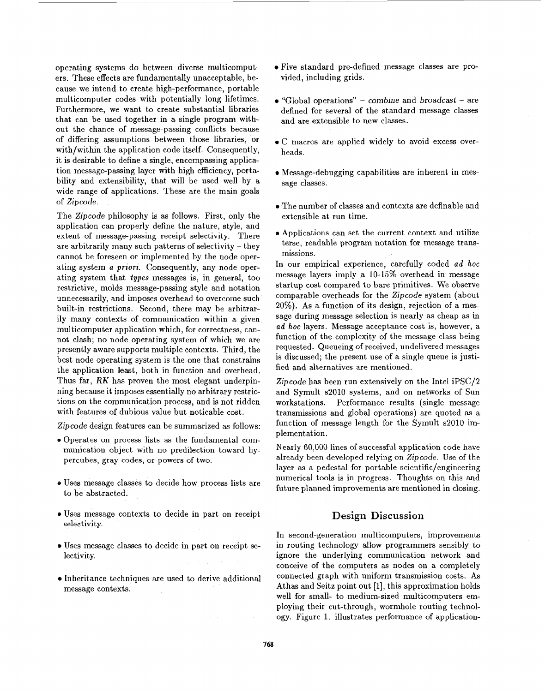operating systems do between diverse multicomputers. These effects are fundamentally unacceptable, because we intend to create high-performance, portable multicomputer codes with potentially long lifetimes. Furthermore, we want to create substantial libraries that can be used together in a single program without the chance of message-passing conflicts because of differing assumptions between those libraries, or with/within the application code itself. Consequently, it is desirable to define a single, encompassing application message-passing layer with high efficiency, portability and extensibility, that will be used well by a wide range of applications. These are the main goals of *Zipcode.* 

The *Zipcode* philosophy is **as** follows. First, only the application can properly define the nature, style, and extent of message-passing receipt selectivity. There are arbitrarily many such patterns of selectivity  $-\text{they}$ cannot be foreseen or implemented by the node operating system a *priori*. Consequently, any node operating system that *dypes* messages is, in general, too restrictive, molds message-passing style and notation unnecessarily, and imposes overhead to overcome such built-in restrictions. Second, there may be arbitrarily many contexts of communication within a given multicomputer application which, for correctness, cannot clash; no node operating system of which we are presently aware supports multiple contexts. Third, the best node operating system is the one that constrains the application least, both in function and overhead. Thus far, *RK* has proven the most elegant underpinning because it imposes essentially no arbitrary restrictions on the communication process, and is not ridden with features of dubious value but noticable cost.

*Zipcode* design features can be summarized **as** follows:

- e Operates on process lists **as** the fundamental communication object with no predilection toward hypercubes, gray codes, or powers of two.
- e Uses message classes to decide how process lists are to be abstracted.
- **e** Uses message contexts to decide in part on receipt **selectivity.**
- *0* Uses message classes to decide in part on receipt selectivity.
- **e** Inheritance techniques are used to derive additional message contexts.
- **e** Five standard pre-defined message classes are **pro**vided, including grids.
- **<sup>a</sup>**"Global operations" *combine* and *broadcast*  are defined for several of the standard message classes and are extensible to new classes.
- *0* C macros are applied widely to avoid excess overheads.
- **e** Message-debugging capabilities are inherent in message classes.
- **e** The number of classes and contexts are definable and extensible at run time.
- **e** Applications can set the current context and utilize terse, readable program notation for message transmissions.

In our empirical experience, carefully coded ad *hoc*  message layers imply a 10-15% overhead in message startup cost compared to bare primitives. We observe comparable overheads for the *Zipcode* system (about 20%). As a function of its design, rejection of a message during message selection is nearly **as** cheap **as** in ad *hoc* layers. Message acceptance cost is, however, a function of the complexity of the message class being requested. Queueing of received, undelivered messages is discussed; the present use of a single queue is justified and alternatives are mentioned.

*Zipcode* has been run extensively on the Intel iPSC/2 and Symult s2010 systems, and on networks of Sun workstations. Performance results (single message transmissions and global operations) are quoted as a function of message length for the Symult s2010 implement at ion.

Nearly 60,000 lines of successful application code have already been developed relying on *Zipcode.* Use of the layer **as** a pedestal for portable scientific/engineering numerical tools is in progress. Thoughts on this and future planned improvements are mentioned in closing.

# **Design Discussion**

In second-generation multicomputers, improvements in routing technology allow programmers sensibly to ignore the underlying communication network and conceive of the computers as nodes on a completely connected graph with uniform transmission costs. **As**  Athas and Seitz point out [l], this approximation holds well for small- to medium-sized multicomputers employing their cut-through, wormhole routing technology. Figure 1. illustrates performance of application-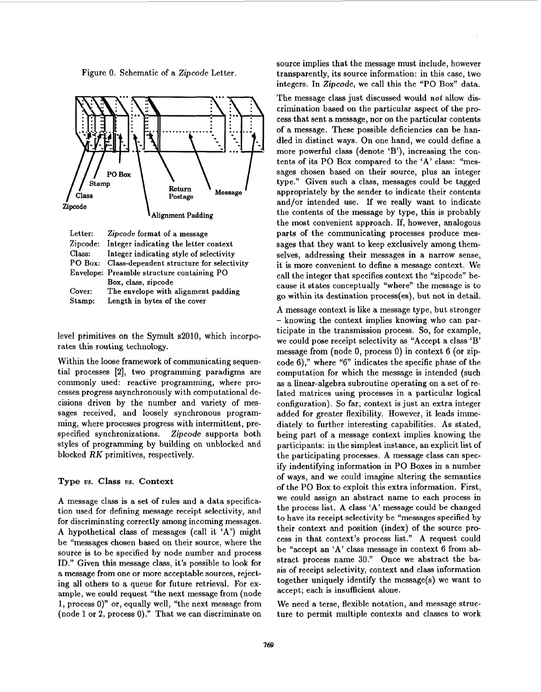<span id="page-2-0"></span>



| Letter: | Zipcode format of a message                       |
|---------|---------------------------------------------------|
|         | Zipcode: Integer indicating the letter context    |
| Class:  | Integer indicating style of selectivity           |
|         | PO Box: Class-dependent structure for selectivity |
|         | Envelope: Preamble structure containing PO        |
|         | Box, class, zipcode                               |
|         | Cover: The envelope with alignment padding        |
| Stamp:  | Length in bytes of the cover                      |

level primitives on the Symult s2010, which incorporates this routing technology.

Within the loose framework of communicating sequential processes **[2],** two programming paradigms are commonly used: reactive programming, where processes progress asynchronously with computational decisions driven by the number and variety of messages received, and loosely synchronous programming, where processes progress with intermittent, prespecified synchronizations. Zipcode supports both styles of programming by building on unblocked and blocked *RK* primitives, respectively.

#### **Type** *vs.* **Class** *us.* **Context**

**A** message class is a set of rules and a data specification used for defining message receipt selectivity, and for discriminating correctly among incoming messages. **A** hypothetical class of messages (call it **'A')** might be "messages chosen based on their source, where the source is to be specified by node number and process ID." Given this message class, it's possible to look for a message from one or more acceptable sources, rejecting all others to a queue for future retrieval. For example, we could request "the next message from (node **1,** process 0)" or, equally well, "the next message from (node 1 or **2,** process **O)."** That we can discriminate on

source implies that the message must include, however transparently, its source information: in this case, two integers. In Zipcode, we call this the "PO **Box"** data.

The message class just discussed would **not** allow discrimination based on the particular aspect of the process that sent a message, nor on the particular contents of a message. These possible deficiencies can be handled in distinct ways. On one hand, we could define a more powerful class (denote **'B'),** increasing the contents of its PO **Box** compared to the **'A'** class: "messages chosen based on their source, plus an integer type." Given such a class, messages could be tagged appropriately by the sender to indicate their contents and/or intended use. If we really want to indicate the contents of the message by type, this is probably the most convenient approach. If, however, analogous parts of the communicating processes produce messages that they want to keep exclusively among themselves, addressing their messages in a narrow sense, it is more convenient to define a message context. We call the integer that specifies context the "zipcode" because it states conceptually "where" the message is to **go** within its destination process(es), but not in detail.

A message context is like a message type, but stronger - knowing the context implies knowing who can participate in the transmission process. So, for example, we could pose receipt selectivity **as** "Accept a class 'B' message **from** (node 0, process 0) in context **6** (or **zip**code **6),"** where **"6"** indicates the specific phase of the computation for which the message is intended (such **as** a linear-algebra subroutine operating on a set of related matrices using processes in a particular logical configuration). So far, context is just an extra integer added for greater flexibility. However, it leads immediately to further interesting capabilities. **As** stated, being part of a message context implies knowing the participants: in the simplest instance, an explicit list of the participating processes. **A** message class can specify indentifying information in PO Boxes in a number of ways, and we could imagine altering the semantics of the PO Box to exploit this extra information. First, we could assign an abstract name to each process in the process list. **A** class **'A'** message could be changed to have its receipt selectivity be "messages specified by their context and position (index) of the source process in that context's process list." **A** request could be "accept an **'A'** class message in context **6** from abstract process name **30."** Once we abstract the basis of receipt selectivity, context and class information together uniquely identify the message(s) we want to accept; each **is** insufficient alone.

We need a terse, flexible notation, and message structure to permit multiple contexts and classes to work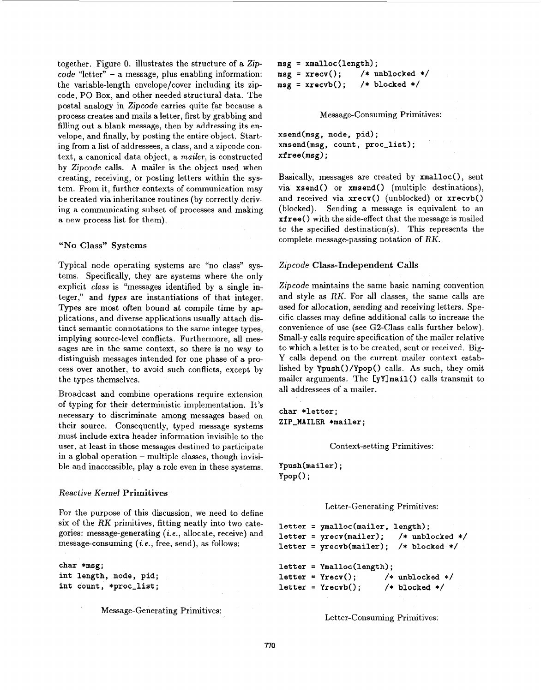together. [Figure 0.](#page-2-0) illustrates the structure of a Zipcode "letter" - a message, plus enabling information: the variable-length envelope/cover including its zipcode, PO Box, and other needed structural data. The postal analogy in Zipcode carries quite far because a process creates and mails a letter, first by grabbing and filling out a blank message, then by addressing its envelope, and finally, by posting the entire object. Starting from a list of addressees, a class, and a zipcode context, a canonical data object, a *mailer,* is constructed by Zipcode calls. **A** mailer is the object used when creating, receiving, or posting letters within the system. From it, further contexts of communication may be created via inheritance routines (by correctly deriving a communicating subset of processes and making a new process list for them).

#### **"No Class" Systems**

Typical node operating systems are "no class" systems. Specifically, they are systems where the only explicit class is "messages identified by a single integer," and types are instantiations of that integer. Types are most often bound at compile time by applications, and diverse applications usually attach distinct semantic connotations to the same integer types, implying source-level conflicts. Furthermore, all messages are in the same context, so there is no way to distinguish messages intended for one phase of a process over another, to avoid such conflicts, except by the types themselves.

Broadcast and combine operations require extension of typing for their deterministic implementation. It's necessary to discriminate among messages based on their source. Consequently, typed message systems must include extra header information invisible to the user, at least in those messages destined to participate in a global operation - multiple classes, though invisible and inaccessible, play a role even in these systems.

#### Reactive Kernel **Primitives**

For the purpose of this discussion, we need to define *six* **of** the *RK* primitives, fitting neatly into two categories: message-generating *(i.e.,* allocate, receive) and message-consuming (*i.e.*, free, send), as follows:

```
char *msg; 
int length, node, pid; 
int count, *proc_list;
```
Message-Generating Primitives:<br>
Letter-Consuming Primitives:

```
msg = xmalloc (length) ; 
msg = xrecv(); 
msg = xrecvb(); 
                    /* unblocked */ 
                    /* blocked */
```
Message-Consuming Primitives:

**xsend(msg, node, pid); xmsend(msg, count, proc-list); xfree(msg)** ;

Basically, messages are created by **xmalloc0,** sent via  $xsend()$  or  $xsend()$  (multiple destinations). and received via xrecv() (unblocked) or xrecvb() (blocked). Sending a message is equivalent to an **xfree()** with the side-effect that the message is mailed to the specified destination(s). This represents the complete message-passing notation of *RK.* 

#### Zip code **Class-Independent Calls**

Zipcode maintains the same basic naming convention and style **as** *RK.* For all classes, the same calls are used for allocation, sending and receiving letters. Specific classes may define additional calls to increase the convenience of use (see G2-Class calls further below). Small-y calls require specification of the mailer relative to which a letter is to be created, sent or received. Big-Y calls depend on the current mailer context established by **Ypush()/Ypop()** calls. **As** such, they omit mailer arguments. The **CyY]mail()** calls transmit to all addressees of a mailer.

**char \*letter; ZIP-HAILER \*mailer;** 

Context-setting Primitives:

**Ypush(mai1er)** ; **YpopO;** 

Letter-Generating Primitives:

```
letter =palloc(mailer, length) ; 
letter = yrecv(mailer) ; 
letter = yrecvb(mai1er); 
/* blocked */ 
                         /* unblocked 
letter = Ymalloc(1ength); 
letter = Yrecv(); /* unblocked */ 
letter = Yrecvb(); /* blocked */
```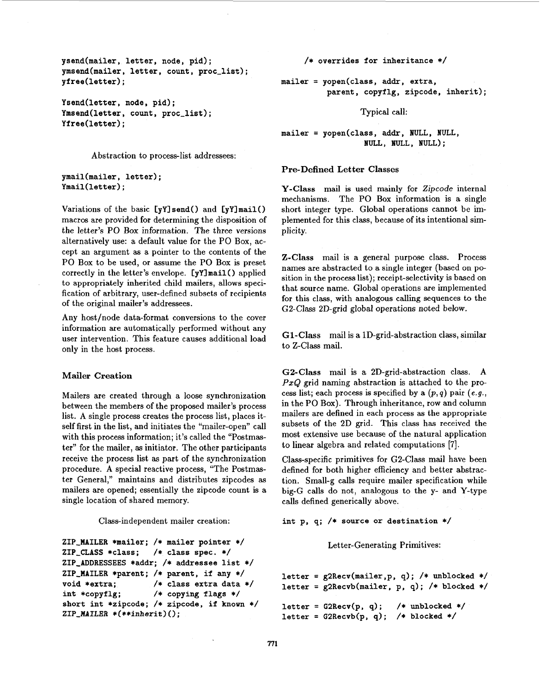**ysend(mailer, letter, node, pid)** ; **ymsend(mailer, letter, count, proc-list)** ; **yfree(1etter);** 

```
Ysend(letter, node, pid); 
Ymsend(letter, count, proc_list);
Yf r ee (1 et t er) ;
```
Abstraction to process-list addressees:

```
ymail(mailer, letter) ; 
Ymail(letter);
```
Variations of the basic **CyYlsend()** and **CyY]mail()**  macros are provided for determining the disposition of the letter's PO **Box** information. The three versions alternatively use: a default value for the PO Box, accept an argument **as** a pointer to the contents of the PO **Box** to be used, or assume the PO Box is preset correctly in the letter's envelope. **[yYlmail()** applied to appropriately inherited child mailers, allows specification of arbitrary, user-defined subsets of recipients of the original mailer's addressees.

Any host/node data-format conversions to the cover information are automatically performed without any user intervention. This feature causes additional load only in the host process.

#### **Mailer Creation**

Mailers are created through a loose synchronization between the members of the proposed mailer's process list. A single process creates the process list, places itself first in the list, and initiates the "mailer-open" call with this process information; it's called the "Postmaster" for the mailer, **as** initiator. The other participants receive the process list **as** part of the synchronization procedure. A special reactive process, "The Postmaster General," maintains and distributes zipcodes **as**  mailers are opened; essentially the zipcode count is a single location of shared memory.

Class-independent mailer creation:

```
ZIP-MAILER *mailer; /* mailer pointer */ 
ZIP-CLASS *class; /* class spec. */ 
ZIP-ADDRESSEES *addr; /* addressee list */ 
ZIP-MAILER *parent; /* parent, if any */ 
void *extra; /* class extra data */ 
int *copyflg; /* copying flags */ 
short int *zipcode; /* zipcode, if known */ 
ZIP_MAILER *(\ast\ast\text{inhert})();
```
/\* **overrides for inheritance** \*/

**mailer** = **yopen(class, addr, extra, parent, copyflg, zipcode, inherit);** 

Typical call:

**mailer** = **yopen(class, addr, NULL, NULL, NULL, NULL, NULL)** ;

#### **Pre-Defined Letter Classes**

**Y-Class** mail is used mainly for Zipcode internal mechanisms. The PO Box information is a single short integer type. Global operations cannot be implemented **for** this class, because **of** its intentional simplicity.

**2-Class** mail is a general purpose class. Process names are abstracted to a single integer (based on position in the process list); receipt-selectivity is based on that source name. Global operations are implemented **for** this class, with analogous calling sequences to the G2-Class 2D-grid global operations noted below.

**G1-Class**  mail is a ID-grid-abstraction class, similar to Z-Class mail.

**G2-Class** mail is a 2D-grid-abstraction class. A *PzQ* grid naming abstraction is attached to the process list; each process is specified by a *(p, q)* pair **(e.g.,**  in the PO Box). Through inheritance, row and column mailers are defined in each process **as** the appropriate subsets of the 2D grid. This class has received the most extensive use because of the natural application to linear algebra and related computations **[7].** 

Class-specific primitives for G2-Class mail have been defined for both higher efficiency and better abstraction. Small-g calls require mailer specification while big-G calls do not, analogous to the y- and Y-type calls defined generically above.

```
int p, q; /* source or destination */
```
#### Letter-Generating Primitives:

```
letter = g2Recv(mailer,p, q); /* unblocked */ 
letter = g2Recvb(mailer, p, q); /* blocked */ 
letter = C2Recv(p. q); /* unblocked */ 
letter = C2Recvb(p, q); /* blocked */
```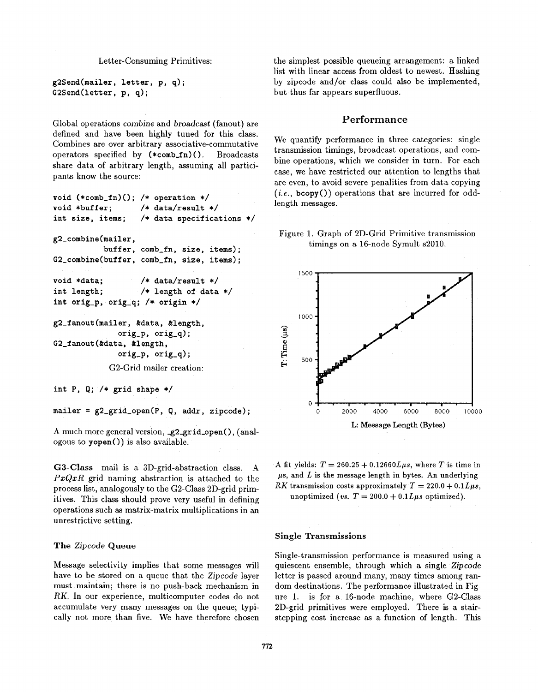Letter-Consuming Primitives:

**gaSend(mailer, letter, p, q); GZSend(letter, p, q);** 

Global operations combine and broadcast (fanout) are defined and have been highly tuned for this class. Combines are over arbitrary associative-commutative operators specified by  $(*comb_fn)$ . Broadcasts share data of arbitrary length, assuming all participants know the source:

```
void (*comb-fn)(); /* operation */ 
void *buffer; /* data/result */ 
                    int size, items; /* data specifications */ 
g2_combine(mailer,
            buffer, comb-fn, size, items); 
GIZ-combine(buffer, comb-fn, size, items); 
void *data; /* data/result */ 
int length; 
int orig-p, orig-q; /* origin */ 
                    /* length of data */ 
g2_fanout(mailer, &data, &length,
GZ-fanout(&data, &length, 
               orig-p, orig-q) ; 
               orig-p, orig-q) ; 
             G2-Grid mailer creation: 
int P. Q; /* grid shape */
```
**mailer** = **g2-grid\_open(Py 9, addr, zipcode)** ;

**A** much more general version, **\_g2\_grid\_open(),** (analogous to **yopen())** is also available.

**G3-Class** mail is a 3D-grid-abstraction class. **A**  *I'xQxR* grid naming abstraction is attached to the process list, analogously to the G2-Class 2D-grid primitives. This class should prove very useful in defining operations such **as** matrix-matrix multiplications in an unrestrictive setting.

#### **The** Zipcode **Queue**

Message selectivity implies that some messages will have to be stored on a queue that the Zipcode layer must maintain; there is no push-back mechanism in **RK.** In our experience, multicomputer codes do not accumulate very many messages on the queue; typically not more than five. We have therefore chosen the simplest possible queueing arrangement: a linked list with linear access from oldest to newest. Hashing by zipcode and/or class could also be implemented, but thus far appears superfluous.

#### **Performance**

We quantify performance in three categories: single transmission timings, broadcast operations, and combine operations, which we consider in turn. For each case, we have restricted our attention to lengths that are even, to avoid severe penalities from data copying  $(i.e., \text{bcopy}()$  operations that are incurred for oddlength messages.





A fit yields:  $T = 260.25 + 0.12660L\mu s$ , where T is time in  $\mu$ s, and  $L$  is the message length in bytes. An underlying *RK* transmission costs approximately  $T = 220.0 + 0.1L\mu s$ , unoptimized (*vs.*  $T = 200.0 + 0.1L\mu s$  optimized).

#### **Single Transmissions**

Single-transmission performance is measured using a quiescent ensemble, through which a single Zipcode letter is passed around many, many times among random destinations. The performance illustrated in Figure 1. is for a 16-node machine, where G2-Class 2D-grid primitives were employed. There is a stairstepping cost increase **as** a function of length. This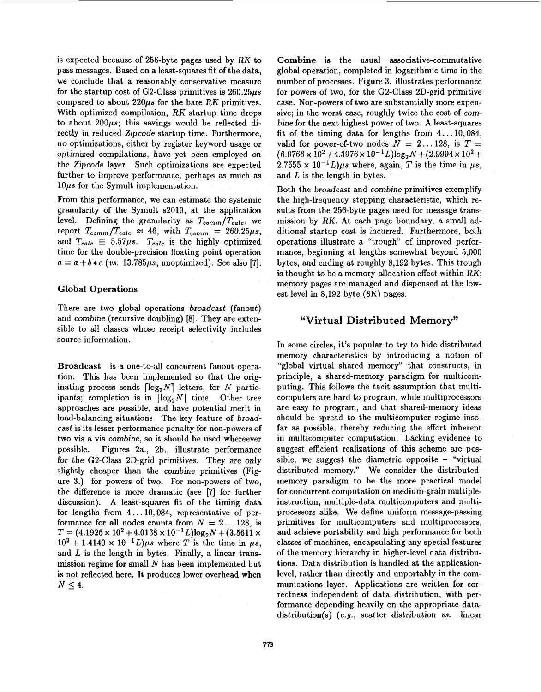is expected because of 256-byte pages used by *RK* to pass messages. Based on a least-squares fit of the data, we conclude that a reasonably conservative measure for the startup cost of G2-Class primitives is  $260.25\mu s$ compared to about  $220\mu s$  for the bare *RK* primitives. With optimized compilation, *RK* startup time drops to about  $200\mu s$ ; this savings would be reflected directly in reduced Zipcode startup time. Furthermore, no optimizations, either by register keyword usage **or**  optimized compilations, have yet been employed on the Zipcode layer. Such optimizations are expected further to improve performance, perhaps **as** much **as**   $10\mu s$  for the Symult implementation.

From this performance, we can estimate the systemic granularity of the Symult s2010, at the application level. Defining the granularity **as** *TcommlTcalc,* we report  $T_{comm}/T_{calc} \approx 46$ , with  $T_{comm} = 260.25 \mu s$ , and  $T_{calc} \equiv 5.57 \mu s$ .  $T_{calc}$  is the highly optimized time for the double-precision floating point operation  $a = a + b * c$  (*vs.* 13.785 $\mu$ *s*, unoptimized). See also [7].

#### **Global Operations**

There are two global operations broadcast (fanout) and combine (recursive doubling) [8]. They are extensible to all classes whose receipt selectivity includes source information.

**Broadcast** is a one-to-all concurrent fanout operation. This has been implemented so that the originating process sends  $\lceil \log_2 N \rceil$  letters, for *N* participants; completion is in  $\lceil \log_2 N \rceil$  time. Other tree approaches are possible, and have potential merit in load-balancing situations. The key feature of broadcast is its lesser performance penalty for non-powers of two vis a vis combine, so it should be used whereever possible. Figures 2a., 2b., illustrate performance for the G2-Class 2D-grid primitives. They are only slightly cheaper than the combine primitives (Figure 3.) for powers of two. For non-powers of two, the difference is more dramatic (see [7] for further discussion). A least-squares fit of the timing data for lengths from  $4 \dots 10,084$ , representative of performance for all nodes counts from  $N = 2...128$ , is  $T = (4.1926 \times 10^2 + 4.0138 \times 10^{-1}L)\log_2 N + (3.5611 \times$  $10^2 + 1.4140 \times 10^{-1} L$ ) $\mu s$  where *T* is the time in  $\mu s$ , and *L* is the length in bytes. Finally, a linear transmission regime for small *N* has been implemented but is not reflected here. It produces lower overhead when  $N \leq 4$ .

**Combine** is the usual associative-commutative global operation, completed in logarithmic time in the number of processes. [Figure](#page-9-0) **3.** illustrates performance for powers of two, for the G2-Class 2D-grid primitive case. Non-powers of two are substantially more expensive; in the worst case, roughly twice the cost of combine for the next highest power of two. **A** least-squares fit of the timing data for lengths from  $4 \dots 10,084$ , valid for power-of-two nodes  $N = 2...128$ , is  $T =$  $(6.0766 \times 10^2 + 4.3976 \times 10^{-1}L) \log_2 N + (2.9994 \times 10^2 +$  $2.7555 \times 10^{-1} L$ ) $\mu s$  where, again, *T* is the time in  $\mu s$ , and *L* is the length in bytes.

Both the broadcast and combine primitives exemplify the high-frequency stepping characteristic, which results from the 256-byte pages used for message transmission by *RK.* At each page boundary, a small additional startup cost is incurred. Furthermore, both operations illustrate a "trough" of improved performance, beginning at lengths somewhat beyond 5,000 bytes, and ending at roughly 8,192 bytes. This trough is thought to be a memory-allocation effect within *RK*  memory pages are managed and dispensed at the lowest level in 8,192 byte (8K) pages.

# **"Virtual Distributed Memory"**

In some circles, it's popular to try to hide distributed memory characteristics by introducing a notion of "global virtual shared memory" that constructs, in principle, a shared-memory paradigm for multicomputing. This follows the tacit assumption that multicomputers are hard to program, while multiprocessors are easy to program, and that shared-memory ideas should be spread to the multicomputer regime insofar **as** possible, thereby reducing the effort inherent in multicomputer computation. Lacking evidence to suggest efficient realizations of this scheme are possible, we suggest the diametric opposite - "virtual distributed memory." We consider the distributedmemory paradigm to be the more practical model for concurrent computation on medium-grain multipleinstruction, multiple-data multicomputers and multiprocessors alike. We define uniform message-passing primitives for multicomputers and multiprocessors, and achieve portability and high performance for both classes of machines, encapsulating any special features of the memory hierarchy in higher-level data distributions. Data distribution is handled at the applicationlevel, rather than directly and unportably in the communications layer. Applications are written for correctness independent of data distribution, with performance depending heavily on the appropriate datadistribution(s) **(e.g.,** scatter distribution *us.* linear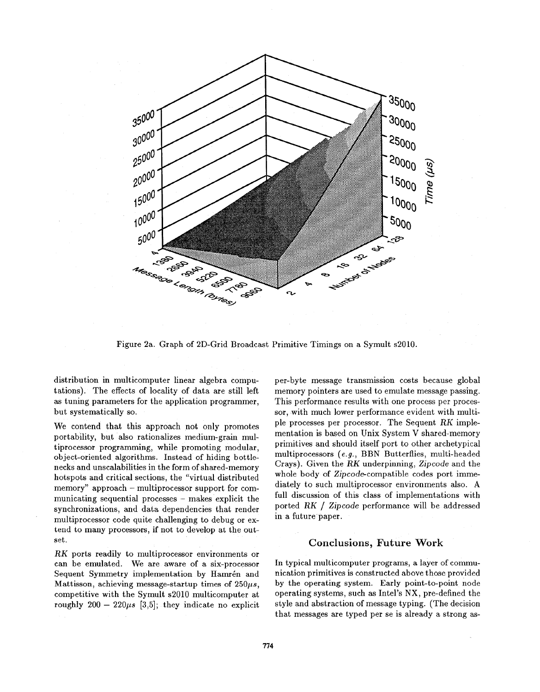

Figure 2a. Graph of 2D-Grid Broadcast Primitive Timings on a Symult s2010.

distribution in multicomputer linear algebra computations). The effects of locality of data are still left **as** tuning parameters for the application programmer, but systematically so.

We contend that this approach not only promotes portability, but also rationalizes medium-grain multiprocessor programming, while promoting modular, object-oriented algorithms. Instead of hiding bottlenecks and unscalabilities in the form of shared-memory hotspots and critical sections, the "virtual distributed memory" approach - multiprocessor support for communicating sequential processes - makes explicit the synchronizations, and data dependencies that render multiprocessor code quite challenging to debug or extend to many processors, **if** not to develop at the outset.

*RK* ports readily to multiprocessor environments or can be emulated. We are aware of a six-processor Sequent Symmetry implementation by Hamrén and Mattisson, achieving message-startup times of  $250\mu s$ , competitive with the Symult s2010 multicomputer at roughly  $200 - 220\mu s$  [3,5]; they indicate no explicit

per-byte message transmission costs because global memory pointers are used to emulate message passing. This performance results with one process per processor, with much lower performance evident with multiple processes per processor. The Sequent *RK* implementation is based on Unix System V shared-memory primitives and should itself port to other archetypical multiprocessors **(e.g.,** BBN Butterflies, multi-headed Crays). Given the RK underpinning, Zipcode and the whole body of Zipcode-compatible codes port immediately to such multiprocessor environments also. **A**  full discussion of this class of implementations with ported *RK* / *Zipcode* performance will be addressed in a future paper.

## **Conclusions, Future Work**

In typical multicomputer programs, a layer of communication primitives is constructed above those provided by the operating system. Early point-to-point node operating systems, such **as** Intel's NX, pre-defined the style and abstraction of message typing. (The decision that messages are typed per se is already a strong **as-**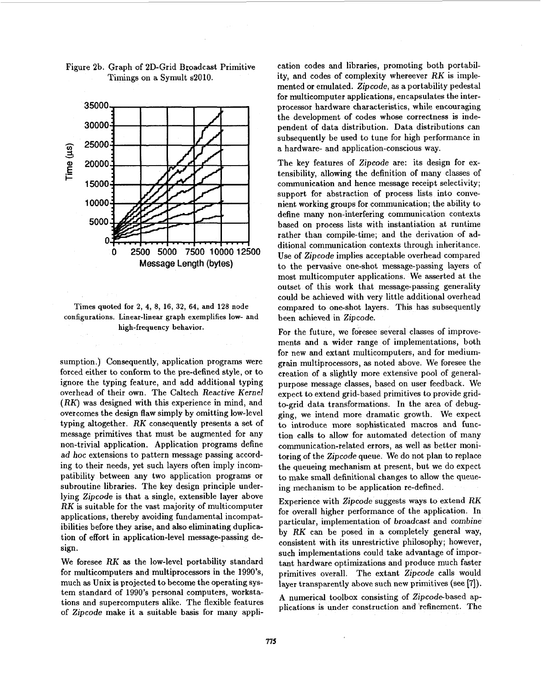

Figure 2b. Graph of 2D-Grid Broadcast Primitive Timings on a Symult s2010.

Times quoted for **2, 4,** 8, **16, 32, 64,** and **128** node configurations. Linear-linear graph exemplifies low- and high-frequency behavior.

sumption.) Consequently, application programs were forced either to conform to the pre-defined style, or to ignore the typing feature, and add additional typing overhead of their own. The Caltech Reactive Kernel (RK) was designed with this experience in mind, and overcomes the design flaw simply by omitting low-level typing altogether. *RK* consequently presents a set of message primitives that must be augmented for any non-trivial application. Application programs define ad hoc extensions to pattern message passing according to their needs, yet such layers often imply incompatibility between any two application programs or subroutine libraries. The key design principle underlying Zipcode is that a single, extensible layer above *RK* is suitable for the vast majority of multicomputer applications, thereby avoiding fundamental incompatibilities before they arise, and also eliminating duplication of effort in application-level message-passing design.

We foresee *RK* as the low-level portability standard for multicomputers and multiprocessors in the 199O's, much as Unix is projected to become the operating system standard of 1990's personal computers, workstations and supercomputers alike. The flexible features of Zipcode make it a suitable basis for many appli-

cation codes and libraries, promoting both portability, and codes of complexity whereever *RK* is implemented or emulated. Zipcode, **as** a portability pedestal for multicomputer applications, encapsulates the interprocessor hardware characteristics , while encouraging the development of codes whose correctness is independent of data distribution. Data distributions can subsequently be used to tune for high performance in a hardware- and application-conscious way.

The key features of Zipcode are: its design for extensibility, allowing the definition of many classes of communication and hence message receipt selectivity; support for abstraction of process lists into convenient working groups for communication; the ability to define many non-interfering communication contexts based on process lists with instantiation at runtime rather than compile-time; and the derivation of additional communication contexts through inheritance. Use of Zipcode implies acceptable overhead compared to the pervasive one-shot message-passing layers of most multicomputer applications. We asserted at the outset of this work that message-passing generality could be achieved with very little additional overhead compared to one-shot layers. This has subsequently been achieved in Zipcode.

For the future, we foresee several classes of improvements and a wider range of implementations, both for new and extant multicomputers, and for mediumgrain multiprocessors, as noted above. We foresee the creation of a slightly more extensive pool of generalpurpose message classes, based on user feedback. We expect to extend grid-based primitives to provide gridto-grid data transformations. In the area of debugging, we intend more dramatic growth. We expect to introduce more sophisticated macros and function calls to allow for automated detection of many communication-related errors, **as** well **as** better monitoring of the Zipcode queue. We do not plan to replace the queueing mechanism at present, but we do expect to make small definitional changes to allow the queueing mechanism to be application re-defined.

Experience with Zipcode suggests ways to extend *RK*  for overall higher performance of the application. In particular, implementation of broadcast and combine by **RK** can be posed in a completely general way, consistent with its unrestrictive philosophy; however, such implementations could take advantage of important hardware optimizations and produce much faster primitives overall. The extant Zipcode calls would layer transparently above such new primitives (see [7]).

A numerical toolbox consisting of Zipcodebased applications is under construction and refinement. The